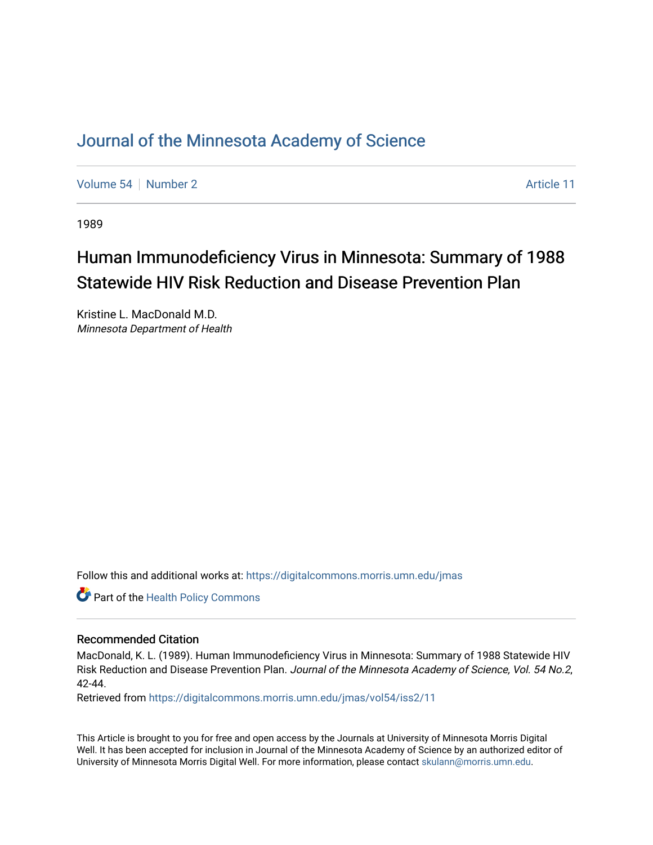### [Journal of the Minnesota Academy of Science](https://digitalcommons.morris.umn.edu/jmas)

[Volume 54](https://digitalcommons.morris.umn.edu/jmas/vol54) [Number 2](https://digitalcommons.morris.umn.edu/jmas/vol54/iss2) Article 11

1989

## Human Immunodeficiency Virus in Minnesota: Summary of 1988 Statewide HIV Risk Reduction and Disease Prevention Plan

Kristine L. MacDonald M.D. Minnesota Department of Health

Follow this and additional works at: [https://digitalcommons.morris.umn.edu/jmas](https://digitalcommons.morris.umn.edu/jmas?utm_source=digitalcommons.morris.umn.edu%2Fjmas%2Fvol54%2Fiss2%2F11&utm_medium=PDF&utm_campaign=PDFCoverPages) 

Part of the [Health Policy Commons](https://network.bepress.com/hgg/discipline/395?utm_source=digitalcommons.morris.umn.edu%2Fjmas%2Fvol54%2Fiss2%2F11&utm_medium=PDF&utm_campaign=PDFCoverPages)

#### Recommended Citation

MacDonald, K. L. (1989). Human Immunodeficiency Virus in Minnesota: Summary of 1988 Statewide HIV Risk Reduction and Disease Prevention Plan. Journal of the Minnesota Academy of Science, Vol. 54 No.2, 42-44.

Retrieved from [https://digitalcommons.morris.umn.edu/jmas/vol54/iss2/11](https://digitalcommons.morris.umn.edu/jmas/vol54/iss2/11?utm_source=digitalcommons.morris.umn.edu%2Fjmas%2Fvol54%2Fiss2%2F11&utm_medium=PDF&utm_campaign=PDFCoverPages) 

This Article is brought to you for free and open access by the Journals at University of Minnesota Morris Digital Well. It has been accepted for inclusion in Journal of the Minnesota Academy of Science by an authorized editor of University of Minnesota Morris Digital Well. For more information, please contact [skulann@morris.umn.edu](mailto:skulann@morris.umn.edu).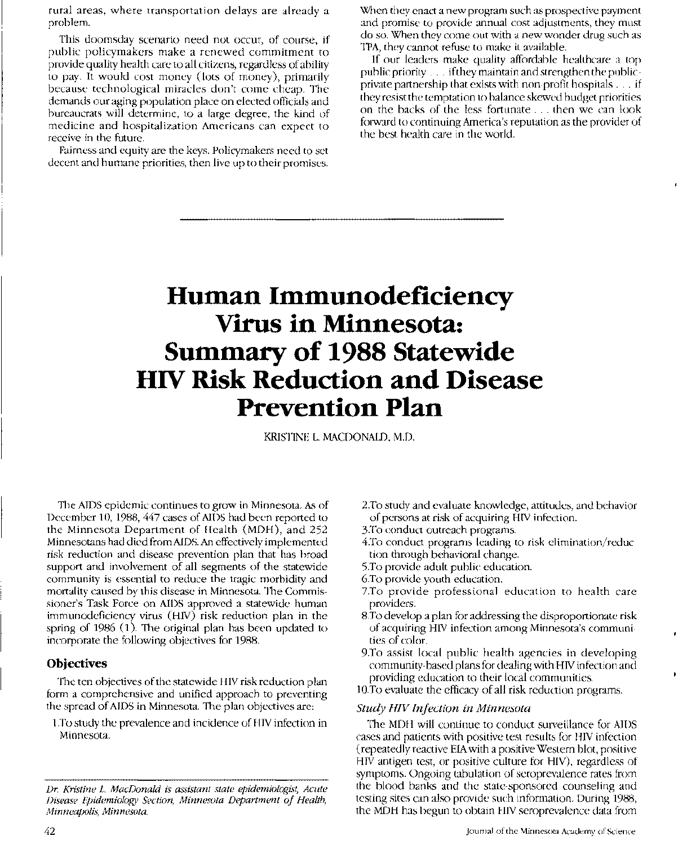rural areas, where transportation delays are already a problem.

This doomsday scenario need not occur, of course, if public policymakers make a renewed commitment to provide quality health care to all citizens, regardless of ability to pay. It would cost money (lots of money), primarily because technological miracles don't come cheap. The demands our aging population place on elected officials and bureaucrats will determine, to a large degree, the kind of medicine and hospitalization Americans can expect to receive in the future.

Fairness and equity are the keys. Policymakers need to set decent and humane priorities, then live up to their promises.

When they enact a new program such as prospective payment and promise to provide annual cost adjustments, they must do so. When they come out with a new wonder drug such as TPA, they cannot refuse to make it available.

If our leaders make quality affordable healthcare a top public priority ... if they maintain and strengthen the publicprivate partnership that exists with non-profit hospitals ... if they resist the temptation to balance skewed budget priorities on the backs of the less fortunate ... then we can look forward to continuing America's reputation as the provider of the best health care in the world.

# **Human Immunodeficiency Virus in Minnesota: Summary of 1988 Statewide HIV Risk Reduction and Disease Prevention Plan**

KRISTINE L. MACDONAlD, M.D.

The AIDS epidemic continues to grow in Minnesota. As of December 10, 1988, 447 cases of AIDS had been reported to the Minnesota Department of Health (MDH), and 252 Minnesotans had died from AIDS. An effectively implemented risk reduction and disease prevention plan that has broad support and involvement of all segments of the statewide community is essential to reduce the tragic morbidity and mortality caused by this disease in Minnesota. The Commissioner's Task Force on AIDS approved a statewide human immunodeficiency virus (HN) risk reduction plan in the spring of 1986 (1). The original plan has been updated to incorporate the following objectives for 1988.

#### **Objectives**

The ten objectives of the statewide HIV risk reduction plan form a comprehensive and unified approach to preventing the spread of AIDS in Minnesota. The plan objectives are:

1.To study the prevalence and incidence of HIV infection in Minnesota.

- 2.To study and evaluate knowledge, attitudes, and behavior of persons at risk of acquiring HN infection.
- 3.To conduct outreach programs.
- 4.To conduct programs leading to risk elimination/reduc tion through behavioral change.
- 5.To provide adult public education.
- 6.To provide youth education.
- 7.To provide professional education to health care providers.
- 8.To develop a plan for addressing the disproportionate risk of acquiring HN infection among Minnesota's communities of color.
- 9.To assist local public health agencies in developing community-based plans for dealing with HN infection and providing education to their local communities.
- lO.To evaluate the efficacy of all risk reduction programs.

#### *Study HIV Injection in Minnesota*

The MDH will continue to conduct surveillance for AIDS cases and patients with positive test results for HN infection (repeatedly reactive EIA with a positive Western blot, positive HN antigen test, or positive culture for HN), regardless of symptoms. Ongoing tabulation of seroprevalence rates from the blood banks and the state-sponsored counseling and testing sites can also provide such information. During 1988, the MDH has begun to obtain HN seroprevalence data from

*Dr. Kristine* L. *MacDonald is assistant state epidemiologist, Acute Disease Epidemiology Section, Minnesota Department of Health, Minneapolis, Minnesota.*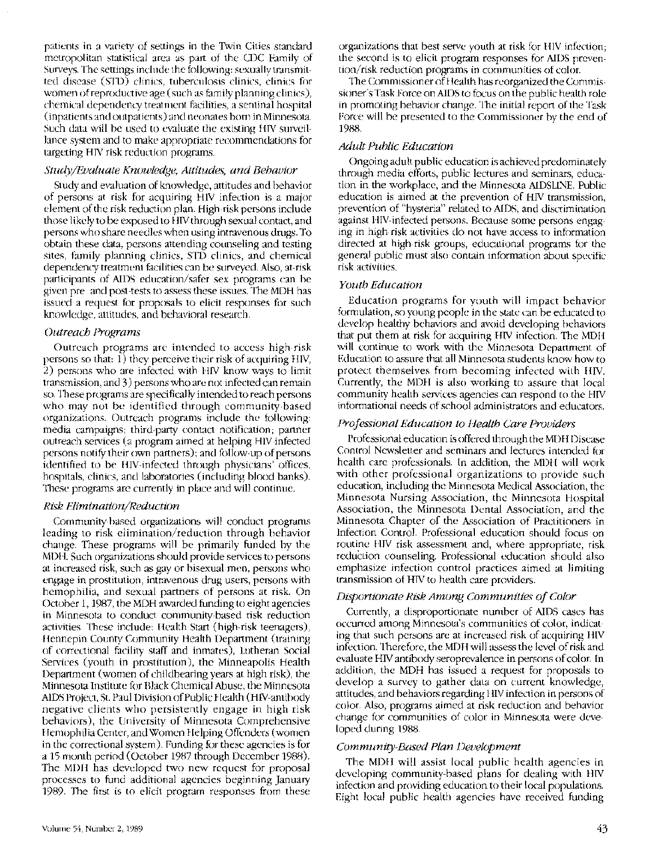patients in a variety of settings in the Twin Cities standard metropolitan statistical area as part of the CDC Family of Surveys. The settings include the following: sexually transmitted disease (SID) clinics, tuberculosis clinics, clinics for women of reproductive age (such as family planning clinics), chemical dependency treatment facilities, a sentinal hospital (inpatients and outpatients) and neonates born in Minnesota. Such data will be used to evaluate the existing HIV surveillance system and to make appropriate recommendations for targeting HIV risk reduction programs.

#### *Study/Evaluate Knowledge, Attitudes, and Behavior*

Study and evaluation of knowledge, attitudes and behavior of persons at risk for acquiring HIV infection is a major element of the risk reduction plan. High-risk persons include those likely to be exposed to HIV through sexual contact, and persons who share needles when using intravenous drugs. To obtain these data, persons attending counseling and testing sites, family planning clinics, SID clinics, and chemical dependency treatment facilities can be surveyed. Also, at-risk participants of AIDS education/safer sex programs can be given pre- and post-tests to assess these issues. The MDH has issued a request for proposals to elicit responses for such knowledge, attitudes, and behavioral research.

#### *Outreach Programs*

Outreach programs are intended to access high-risk persons so that: 1) they perceive their risk of acquiring HIV, 2) persons who are infected with HIV know ways to limit transmission, and 3) persons who are not infected can remain so. These programs are specifically intended to reach persons who may not be identified through community-based organizations. Outreach programs include the following: media campaigns; third-party contact notification; partner outreach services (a program aimed at helping HIV-infected persons notifY their own partners); and follow-up of persons identified to be HIV-infected through physicians' offices, hospitals, clinics, and laboratories (including blood banks). These programs are currently in place and will continue.

#### *Risk Elimination/Reduction*

Community-based organizations will conduct programs leading to risk elimination/reduction through behavior change. These programs will be primarily funded by the MDH. Such organizations should provide services to persons at increased risk, such as gay or bisexual men, persons who engage in prostitution, intravenous drug users, persons with hemophilia, and sexual partners of persons at risk On October 1, 1987, the MDH awarded funding to eight agencies in Minnesota to conduct community-based risk reduction activities. These include: Health Start (high-risk teenagers), Hennepin County Community Health Department (training of correctional facility staff and inmates), Lutheran Social Services (youth in prostitution), the Minneapolis Health Department (women of childbearing years at high risk), the Minnesota Institute for Black Chemical Abuse, the Minnesota AIDS Project, St. Paul Division of Public Health (HIV-antibody negative clients who persistently engage in high-risk behaviors), the University of Minnesota Comprehensive Hemophilia Center, and Women Helping Offenders (women in the correctional system). Funding for these agencies is for a 15 month period (October 1987 through December 1988). The MDH has developed two new request for proposal processes to fund additional agencies beginning January 1989. The first is to elicit program responses from these organizations that best serve youth at risk for HIV infection; the second is to elicit program responses for AIDS prevention/risk reduction programs in communities of color.

The Commissioner of Health has reorganized the Commissioner's Task Force on AIDS to focus on the public health role in promoting behavior change. The initial report of the Task Force will be presented to the Commissioner by the end of 1988.

#### *Adult Public Education*

Ongoing adult public education is achieved predominately through media efforts, public lectures and seminars, education in the workplace, and the Minnesota AIDSLINE. Public education is aimed at the prevention of HIV transmission, prevention of "hysteria" related to AIDS, and discrimination against HIV-infected persons. Because some persons engaging in high-risk activities do not have access to information directed at high-risk groups, educational programs for the general public must also contain information about specific risk activities.

#### *Youth Education*

Education programs for youth will impact behavior formulation, so young people in the state can be educated to develop healthy behaviors and avoid developing behaviors that put them at risk for acquiring HIV infection. The MDH will continue to work with the Minnesota Department of Education to assure that all Minnesota students know how to protect themselves from becoming infected with HIV. Currently, the MDH is also working to assure that local community health services agencies can respond to the HIV informational needs of school administrators and educators.

#### *Professional Education to Health Care Providers*

Professional education is offered through the MDH Disease Control Newsletter and seminars and lectures intended for health care professionals. In addition, the MDH will work with other professional organizations to provide such education, including the Minnesota Medical Association, the Minnesota Nursing Association, the Minnesota Hospital Association, the Minnesota Dental Association, and the Minnesota Chapter of the Association of Practitioners in Infection Control. Professional education should focus on routine HIV risk assessment and, where appropriate, risk reduction counseling. Professional education should also emphasize infection control practices aimed at limiting transmission of HIV to health care providers.

#### *Disportionate Risk Among Communities of Color*

Currently, a disproportionate number of AIDS cases has occurred among Minnesota's communities of color, indicating that such persons are at increased risk of acquiring HIV infection. Therefore, the MDH will assess the level of risk and evaluate HIV antibody seroprevalence in persons of color. In addition, the MDH has issued a request for proposals to develop a survey to gather data on current knowledge, attitudes, and behaviors regarding HIV infection in persons of color. Also, programs aimed at risk reduction and behavior change for communities of color in Minnesota were developed during 1988.

#### *Community-Based Plan Development*

The MDH will assist local public health agencies in developing community-based plans for dealing with HIV infection and providing education to their local populations. Eight local public health agencies have received funding